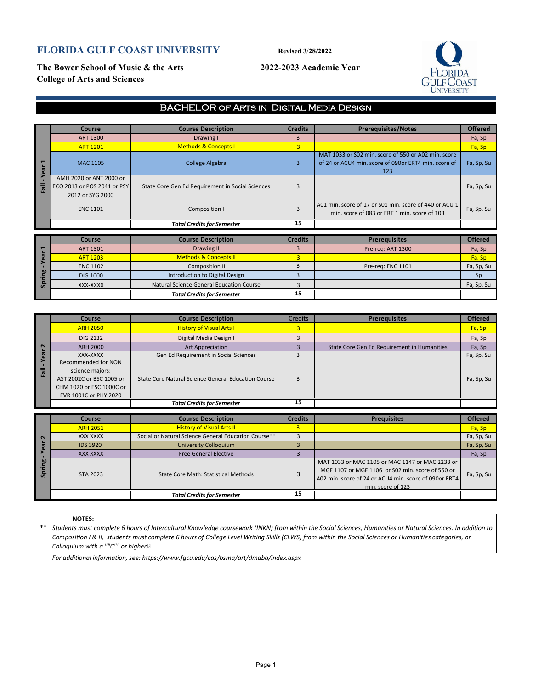# **FLORIDA GULF COAST UNIVERSITY Revised 3/28/2022**

**The Bower School of Music & the Arts 2022-2023 Academic Year College of Arts and Sciences**



## BACHELOR of Arts in Digital Media Design

|                      | Course                                                                                                                  | <b>Course Description</b>                                    | <b>Credits</b>                   | <b>Prerequisites/Notes</b>                                                                                         | <b>Offered</b>       |
|----------------------|-------------------------------------------------------------------------------------------------------------------------|--------------------------------------------------------------|----------------------------------|--------------------------------------------------------------------------------------------------------------------|----------------------|
| $-$ Year $1$<br>Fall | <b>ART 1300</b>                                                                                                         | Drawing I                                                    | $\overline{3}$                   |                                                                                                                    | Fa, Sp               |
|                      | <b>ART 1201</b>                                                                                                         | <b>Methods &amp; Concepts I</b>                              | $\overline{3}$                   |                                                                                                                    | Fa, Sp               |
|                      | <b>MAC 1105</b>                                                                                                         | <b>College Algebra</b>                                       | 3                                | MAT 1033 or S02 min. score of 550 or A02 min. score<br>of 24 or ACU4 min. score of 090or ERT4 min. score of<br>123 | Fa, Sp, Su           |
|                      | AMH 2020 or ANT 2000 or<br>ECO 2013 or POS 2041 or PSY<br>2012 or SYG 2000                                              | State Core Gen Ed Requirement in Social Sciences             | 3                                |                                                                                                                    | Fa, Sp, Su           |
|                      | <b>ENC 1101</b>                                                                                                         | Composition I                                                | 3                                | A01 min. score of 17 or S01 min. score of 440 or ACU 1<br>min. score of 083 or ERT 1 min. score of 103             | Fa, Sp, Su           |
|                      |                                                                                                                         | <b>Total Credits for Semester</b>                            | 15                               |                                                                                                                    |                      |
|                      | Course                                                                                                                  | <b>Course Description</b>                                    | <b>Credits</b>                   | <b>Prerequisites</b>                                                                                               | <b>Offered</b>       |
| 1                    | <b>ART 1301</b>                                                                                                         | Drawing II                                                   | 3                                |                                                                                                                    |                      |
|                      | <b>ART 1203</b>                                                                                                         | <b>Methods &amp; Concepts II</b>                             | $\overline{\mathbf{3}}$          | Pre-reg: ART 1300                                                                                                  | Fa, Sp<br>Fa, Sp     |
|                      | <b>ENC 1102</b>                                                                                                         | <b>Composition II</b>                                        | 3                                | Pre-req: ENC 1101                                                                                                  | Fa, Sp, Su           |
|                      | <b>DIG 1000</b>                                                                                                         | Introduction to Digital Design                               | 3                                |                                                                                                                    | Sp                   |
| Spring - Year        |                                                                                                                         | <b>Natural Science General Education Course</b>              |                                  |                                                                                                                    |                      |
|                      | XXX-XXXX                                                                                                                | <b>Total Credits for Semester</b>                            | 3<br>15                          |                                                                                                                    | Fa, Sp, Su           |
|                      |                                                                                                                         |                                                              |                                  |                                                                                                                    |                      |
|                      |                                                                                                                         |                                                              |                                  |                                                                                                                    |                      |
|                      | Course                                                                                                                  | <b>Course Description</b>                                    | <b>Credits</b>                   | <b>Prerequisites</b>                                                                                               | <b>Offered</b>       |
|                      | <b>ARH 2050</b>                                                                                                         | <b>History of Visual Arts I</b>                              | $\overline{3}$                   |                                                                                                                    | Fa, Sp               |
|                      | <b>DIG 2132</b>                                                                                                         | Digital Media Design I                                       | 3                                |                                                                                                                    | Fa, Sp               |
| $\mathbf{r}$         | <b>ARH 2000</b>                                                                                                         | <b>Art Appreciation</b>                                      | 3                                | State Core Gen Ed Requirement in Humanities                                                                        | Fa, Sp               |
| - Year               | XXX-XXXX                                                                                                                | Gen Ed Requirement in Social Sciences                        | 3                                |                                                                                                                    | Fa, Sp, Su           |
| Fall                 | Recommended for NON<br>science majors:<br>AST 2002C or BSC 1005 or<br>CHM 1020 or ESC 1000C or<br>EVR 1001C or PHY 2020 | State Core Natural Science General Education Course          | 3                                |                                                                                                                    | Fa, Sp, Su           |
|                      |                                                                                                                         | <b>Total Credits for Semester</b>                            | 15                               |                                                                                                                    |                      |
|                      | Course                                                                                                                  | <b>Course Description</b>                                    | <b>Credits</b>                   | <b>Prequisites</b>                                                                                                 | <b>Offered</b>       |
|                      | <b>ARH 2051</b>                                                                                                         | <b>History of Visual Arts II</b>                             | $\overline{3}$                   |                                                                                                                    | Fa, Sp               |
|                      |                                                                                                                         |                                                              |                                  |                                                                                                                    |                      |
|                      |                                                                                                                         |                                                              |                                  |                                                                                                                    |                      |
|                      | <b>XXX XXXX</b>                                                                                                         | Social or Natural Science General Education Course**         | 3                                |                                                                                                                    | Fa, Sp, Su           |
| -Year 2              | <b>IDS 3920</b><br><b>XXX XXXX</b>                                                                                      | <b>University Colloquium</b><br><b>Free General Elective</b> | $\overline{3}$<br>$\overline{3}$ |                                                                                                                    | Fa, Sp, Su<br>Fa, Sp |

|        | <b>Course</b>            | <b>Course Description</b>                           | <b>Credits</b> | <b>Prerequisites</b>                        | <b>Offered</b> |
|--------|--------------------------|-----------------------------------------------------|----------------|---------------------------------------------|----------------|
|        | <b>ARH 2050</b>          | <b>History of Visual Arts I</b>                     |                |                                             | Fa, Sp         |
|        | <b>DIG 2132</b>          | Digital Media Design I                              |                |                                             | Fa, Sp         |
| $\sim$ | <b>ARH 2000</b>          | <b>Art Appreciation</b>                             |                | State Core Gen Ed Requirement in Humanities | Fa, Sp         |
|        | XXX-XXXX                 | Gen Ed Requirement in Social Sciences               |                |                                             | Fa, Sp, Su     |
|        | Recommended for NON      |                                                     |                |                                             |                |
| 。      | science majors:          |                                                     |                |                                             |                |
|        | AST 2002C or BSC 1005 or | State Core Natural Science General Education Course |                |                                             | Fa, Sp, Su     |
|        | CHM 1020 or ESC 1000C or |                                                     |                |                                             |                |
|        | EVR 1001C or PHY 2020    |                                                     |                |                                             |                |
|        |                          | <b>Total Credits for Semester</b>                   | 15             |                                             |                |

|        | <b>Course</b>   | <b>Course Description</b>                            | <b>Credits</b> | <b>Prequisites</b>                                                                                                                                                                | <b>Offered</b> |
|--------|-----------------|------------------------------------------------------|----------------|-----------------------------------------------------------------------------------------------------------------------------------------------------------------------------------|----------------|
|        | <b>ARH 2051</b> | <b>History of Visual Arts II</b>                     |                |                                                                                                                                                                                   | Fa, Sp         |
| $\sim$ | XXX XXXX        | Social or Natural Science General Education Course** |                |                                                                                                                                                                                   | Fa, Sp, Su     |
|        | <b>IDS 3920</b> | <b>University Colloguium</b>                         |                |                                                                                                                                                                                   | Fa, Sp, Su     |
|        | XXX XXXX        | <b>Free General Elective</b>                         |                |                                                                                                                                                                                   | Fa, Sp         |
| bn     | STA 2023        | State Core Math: Statistical Methods                 |                | MAT 1033 or MAC 1105 or MAC 1147 or MAC 2233 or<br>MGF 1107 or MGF 1106 or S02 min. score of 550 or<br>A02 min. score of 24 or ACU4 min. score of 090or ERT4<br>min. score of 123 | Fa, Sp, Su     |
|        |                 | <b>Total Credits for Semester</b>                    | 15             |                                                                                                                                                                                   |                |

### **NOTES:**

\*\* *Students must complete 6 hours of Intercultural Knowledge coursework (INKN) from within the Social Sciences, Humanities or Natural Sciences. In addition to Composition I & II, students must complete 6 hours of College Level Writing Skills (CLWS) from within the Social Sciences or Humanities categories, or Colloquium with a ""C"" or higher.* 

*For additional information, see: https://www.fgcu.edu/cas/bsma/art/dmdba/index.aspx*